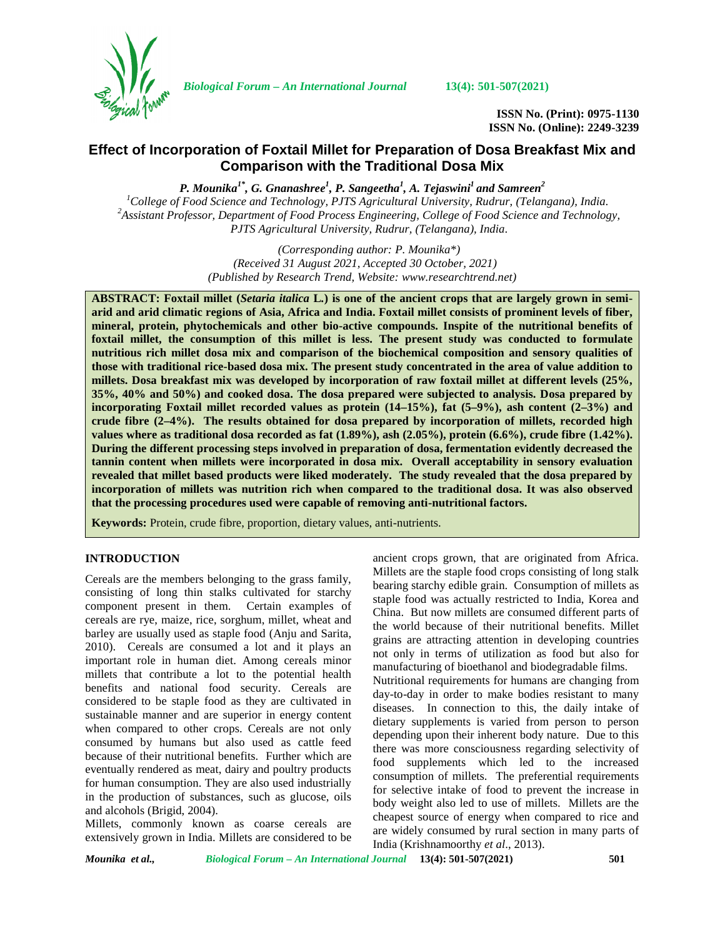

*Biological Forum – An International Journal* **13(4): 501-507(2021)**

**ISSN No. (Print): 0975-1130 ISSN No. (Online): 2249-3239**

## **Effect of Incorporation of Foxtail Millet for Preparation of Dosa Breakfast Mix and Comparison with the Traditional Dosa Mix**

*P. Mounika1\* , G. Gnanashree<sup>1</sup> , P. Sangeetha<sup>1</sup> , A. Tejaswini<sup>1</sup> and Samreen<sup>2</sup>*

 $^{1}$ College of Food Science and Technology, PJTS Agricultural University, Rudrur, (Telangana), India.<br><sup>2</sup>Assistant Professor, Department of Food Process Engineering, College of Food Science and Technology, *PJTS Agricultural University, Rudrur, (Telangana), India*.

> *(Corresponding author: P. Mounika\*) (Received 31 August 2021, Accepted 30 October, 2021) (Published by Research Trend, Website: [www.researchtrend.net\)](www.researchtrend.net)*

**ABSTRACT: Foxtail millet (***Setaria italica* **L***.***) is one of the ancient crops that are largely grown in semi arid and arid climatic regions of Asia, Africa and India. Foxtail millet consists of prominent levels of fiber, mineral, protein, phytochemicals and other bio-active compounds. Inspite of the nutritional benefits of foxtail millet, the consumption of this millet is less. The present study was conducted to formulate nutritious rich millet dosa mix and comparison of the biochemical composition and sensory qualities of those with traditional rice-based dosa mix. The present study concentrated in the area of value addition to millets. Dosa breakfast mix was developed by incorporation of raw foxtail millet at different levels (25%, 35%, 40% and 50%) and cooked dosa. The dosa prepared were subjected to analysis. Dosa prepared by incorporating Foxtail millet recorded values as protein (14–15%), fat (5–9%), ash content (2–3%) and crude fibre (2–4%). The results obtained for dosa prepared by incorporation of millets, recorded high values where as traditional dosa recorded as fat (1.89%), ash (2.05%), protein (6.6%), crude fibre (1.42%). During the different processing steps involved in preparation of dosa, fermentation evidently decreased the tannin content when millets were incorporated in dosa mix. Overall acceptability in sensory evaluation revealed that millet based products were liked moderately. The study revealed that the dosa prepared by incorporation of millets was nutrition rich when compared to the traditional dosa. It was also observed that the processing procedures used were capable of removing anti-nutritional factors.**

**Keywords:** Protein, crude fibre, proportion, dietary values, anti-nutrients.

## **INTRODUCTION**

Cereals are the members belonging to the grass family, consisting of long thin stalks cultivated for starchy component present in them. Certain examples of cereals are rye, maize, rice, sorghum, millet, wheat and barley are usually used as staple food (Anju and Sarita, 2010). Cereals are consumed a lot and it plays an important role in human diet. Among cereals minor millets that contribute a lot to the potential health benefits and national food security. Cereals are considered to be staple food as they are cultivated in sustainable manner and are superior in energy content when compared to other crops. Cereals are not only consumed by humans but also used as cattle feed because of their nutritional benefits. Further which are eventually rendered as meat, dairy and poultry products for human consumption. They are also used industrially in the production of substances, such as glucose, oils and alcohols (Brigid, 2004).

Millets, commonly known as coarse cereals are extensively grown in India. Millets are considered to be

ancient crops grown, that are originated from Africa. Millets are the staple food crops consisting of long stalk bearing starchy edible grain. Consumption of millets as staple food was actually restricted to India, Korea and China. But now millets are consumed different parts of the world because of their nutritional benefits. Millet grains are attracting attention in developing countries not only in terms of utilization as food but also for manufacturing of bioethanol and biodegradable films. Nutritional requirements for humans are changing from day-to-day in order to make bodies resistant to many diseases. In connection to this, the daily intake of

dietary supplements is varied from person to person depending upon their inherent body nature. Due to this there was more consciousness regarding selectivity of food supplements which led to the increased consumption of millets. The preferential requirements for selective intake of food to prevent the increase in body weight also led to use of millets. Millets are the cheapest source of energy when compared to rice and are widely consumed by rural section in many parts of India (Krishnamoorthy *et al*., 2013).

*Mounika et al., Biological Forum – An International Journal* **13(4): 501-507(2021) 501**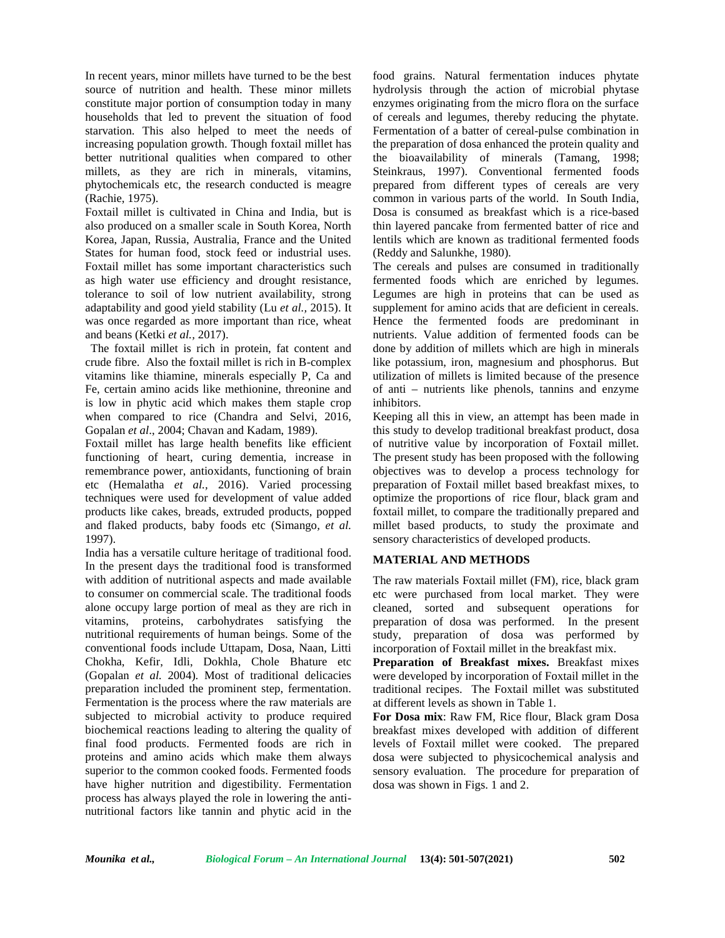In recent years, minor millets have turned to be the best source of nutrition and health. These minor millets constitute major portion of consumption today in many households that led to prevent the situation of food starvation. This also helped to meet the needs of increasing population growth. Though foxtail millet has better nutritional qualities when compared to other millets, as they are rich in minerals, vitamins, phytochemicals etc, the research conducted is meagre (Rachie, 1975).

Foxtail millet is cultivated in China and India, but is also produced on a smaller scale in South Korea, North Korea, Japan, Russia, Australia, France and the United States for human food, stock feed or industrial uses. Foxtail millet has some important characteristics such as high water use efficiency and drought resistance, tolerance to soil of low nutrient availability, strong adaptability and good yield stability (Lu *et al.,* 2015). It was once regarded as more important than rice, wheat and beans (Ketki *et al.,* 2017).

The foxtail millet is rich in protein, fat content and crude fibre. Also the foxtail millet is rich in B-complex vitamins like thiamine, minerals especially P, Ca and Fe, certain amino acids like methionine, threonine and is low in phytic acid which makes them staple crop when compared to rice (Chandra and Selvi, 2016, Gopalan *et al*., 2004; Chavan and Kadam, 1989).

Foxtail millet has large health benefits like efficient functioning of heart, curing dementia, increase in remembrance power, antioxidants, functioning of brain etc (Hemalatha *et al.,* 2016). Varied processing techniques were used for development of value added products like cakes, breads, extruded products, popped and flaked products, baby foods etc (Simango*, et al.* 1997).

India has a versatile culture heritage of traditional food. In the present days the traditional food is transformed with addition of nutritional aspects and made available to consumer on commercial scale. The traditional foods alone occupy large portion of meal as they are rich in vitamins, proteins, carbohydrates satisfying the nutritional requirements of human beings. Some of the conventional foods include Uttapam, Dosa, Naan, Litti Chokha, Kefir, Idli, Dokhla, Chole Bhature etc (Gopalan *et al.* 2004). Most of traditional delicacies preparation included the prominent step, fermentation. Fermentation is the process where the raw materials are subjected to microbial activity to produce required biochemical reactions leading to altering the quality of final food products. Fermented foods are rich in proteins and amino acids which make them always superior to the common cooked foods. Fermented foods have higher nutrition and digestibility. Fermentation process has always played the role in lowering the anti nutritional factors like tannin and phytic acid in the

food grains. Natural fermentation induces phytate hydrolysis through the action of microbial phytase enzymes originating from the micro flora on the surface of cereals and legumes, thereby reducing the phytate. Fermentation of a batter of cereal-pulse combination in the preparation of dosa enhanced the protein quality and the bioavailability of minerals (Tamang, 1998; Steinkraus, 1997). Conventional fermented foods prepared from different types of cereals are very common in various parts of the world. In South India, Dosa is consumed as breakfast which is a rice-based thin layered pancake from fermented batter of rice and lentils which are known as traditional fermented foods (Reddy and Salunkhe, 1980).

The cereals and pulses are consumed in traditionally fermented foods which are enriched by legumes. Legumes are high in proteins that can be used as supplement for amino acids that are deficient in cereals. Hence the fermented foods are predominant in nutrients. Value addition of fermented foods can be done by addition of millets which are high in minerals like potassium, iron, magnesium and phosphorus. But utilization of millets is limited because of the presence of anti – nutrients like phenols, tannins and enzyme inhibitors.

Keeping all this in view, an attempt has been made in this study to develop traditional breakfast product, dosa of nutritive value by incorporation of Foxtail millet. The present study has been proposed with the following objectives was to develop a process technology for preparation of Foxtail millet based breakfast mixes, to optimize the proportions of rice flour, black gram and foxtail millet, to compare the traditionally prepared and millet based products, to study the proximate and sensory characteristics of developed products.

## **MATERIAL AND METHODS**

The raw materials Foxtail millet (FM), rice, black gram etc were purchased from local market. They were cleaned, sorted and subsequent operations for preparation of dosa was performed. In the present study, preparation of dosa was performed by incorporation of Foxtail millet in the breakfast mix.

**Preparation of Breakfast mixes.** Breakfast mixes were developed by incorporation of Foxtail millet in the traditional recipes. The Foxtail millet was substituted at different levels as shown in Table 1.

**For Dosa mix**: Raw FM, Rice flour, Black gram Dosa breakfast mixes developed with addition of different levels of Foxtail millet were cooked. The prepared dosa were subjected to physicochemical analysis and sensory evaluation. The procedure for preparation of dosa was shown in Figs. 1 and 2.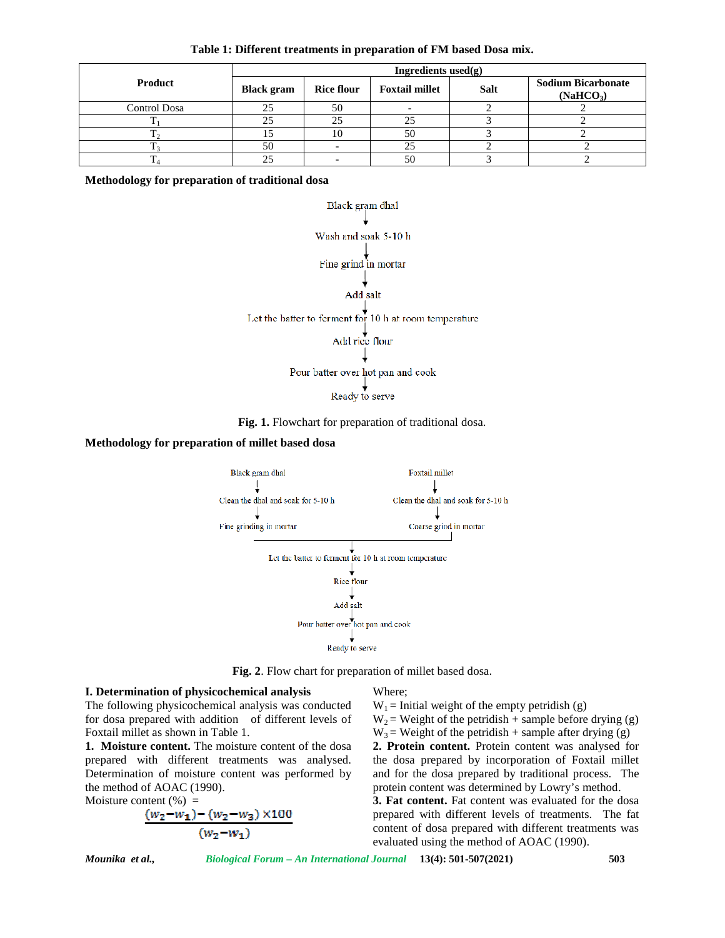| Table 1: Different treatments in preparation of FM based Dosa mix. |  |
|--------------------------------------------------------------------|--|
|--------------------------------------------------------------------|--|

|              | Ingredients used $(g)$ |                   |                       |             |                                                    |
|--------------|------------------------|-------------------|-----------------------|-------------|----------------------------------------------------|
| Product      | <b>Black gram</b>      | <b>Rice flour</b> | <b>Foxtail millet</b> | <b>Salt</b> | <b>Sodium Bicarbonate</b><br>(NaHCO <sub>3</sub> ) |
| Control Dosa | 25                     | 50                |                       |             |                                                    |
|              | 25                     | つく                |                       |             |                                                    |
|              |                        |                   | 50                    |             |                                                    |
|              | 50                     |                   | 25                    |             |                                                    |
|              |                        |                   | 50                    |             |                                                    |

**Methodology for preparation of traditional dosa**



**Fig. 1.** Flowchart for preparation of traditional dosa.

### **Methodology for preparation of millet based dosa**



**Fig. 2**. Flow chart for preparation of millet based dosa.

## **I. Determination of physicochemical analysis**

The following physicochemical analysis was conducted for dosa prepared with addition of different levels of Foxtail millet as shown in Table 1.

**1. Moisture content.** The moisture content of the dosa prepared with different treatments was analysed. Determination of moisture content was performed by the method of AOAC (1990).

Moisture content  $(\%)$  =

$$
\frac{(w_2-w_1)-(w_2-w_3)\times 100}{(w_2-w_1)}
$$

Where;

 $W_1$  = Initial weight of the empty petridish (g)

 $W_2$  = Weight of the petridish + sample before drying (g)  $W_3$  = Weight of the petridish + sample after drying (g)

**2. Protein content.** Protein content was analysed for the dosa prepared by incorporation of Foxtail millet and for the dosa prepared by traditional process. The protein content was determined by Lowry's method.

**3. Fat content.** Fat content was evaluated for the dosa prepared with different levels of treatments. The fat content of dosa prepared with different treatments was evaluated using the method of AOAC (1990).

*Mounika et al., Biological Forum – An International Journal* **13(4): 501-507(2021) 503**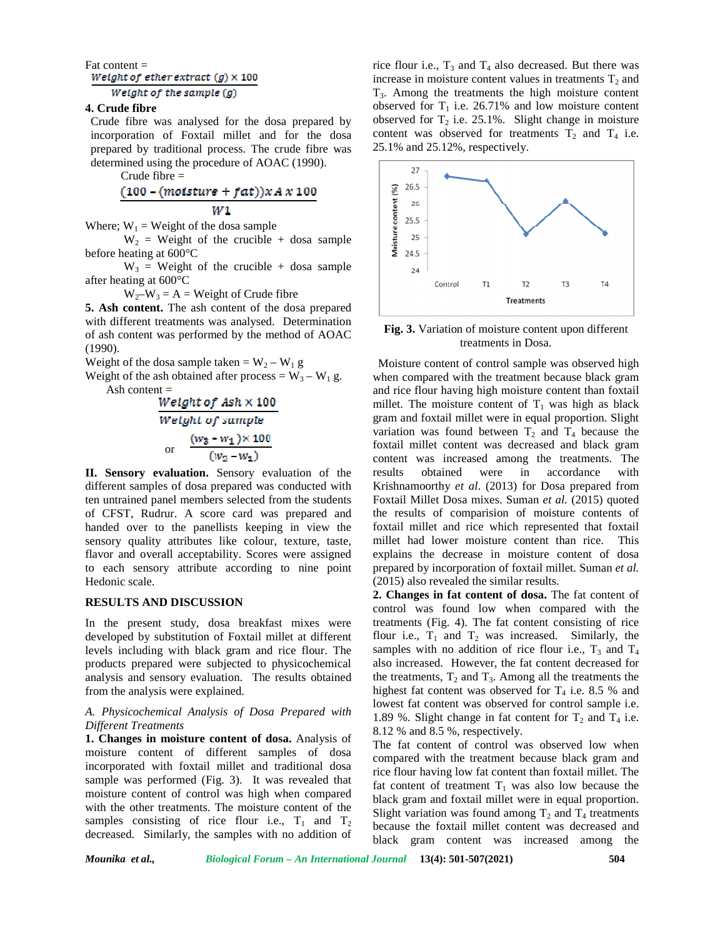# Fat content =<br>Weight of ether extract  $(g) \times 100$

## Weight of the sample  $(g)$

## **4. Crude fibre**

Crude fibre was analysed for the dosa prepared by incorporation of Foxtail millet and for the dosa prepared by traditional process. The crude fibre was determined using the procedure of AOAC (1990).

Crude fibre =

## $(100 - (moisture + fat))xA x 100$

Where;  $W_1$  = Weight of the dosa sample

 $V_1 = \text{Weight of the closed sample}$ <br>
W<sub>1</sub> = Weight of the dosa sample<br>
W<sub>2</sub> = Weight of the crucible + dosa sample<br>
eating at 600°C before heating at 600°C

 $W_3$  = Weight of the crucible + dosa sample after heating at 600°C

 $W_2-W_3 = A = Weight of Crude fibre$ 

**5. Ash content.** The ash content of the dosa prepared with different treatments was analysed. Determination of ash content was performed by the method of AOAC (1990).

Weight of the dosa sample taken =  $W_2 - W_1$  g

Weight of the ash obtained after process =  $W_3 - W_1$  g. Ash content  $=$ 

> Weight of  $Ash \times 100$ Weight of sample or  $\frac{(w_3 - w_1) \times 100}{(w_2 - w_1)}$

**II. Sensory evaluation.** Sensory evaluation of the different samples of dosa prepared was conducted with ten untrained panel members selected from the students of CFST, Rudrur. A score card was prepared and handed over to the panellists keeping in view the sensory quality attributes like colour, texture, taste, flavor and overall acceptability. Scores were assigned to each sensory attribute according to nine point Hedonic scale.

## **RESULTS AND DISCUSSION**

In the present study, dosa breakfast mixes were developed by substitution of Foxtail millet at different levels including with black gram and rice flour. The products prepared were subjected to physicochemical analysis and sensory evaluation. The results obtained from the analysis were explained.

## *A. Physicochemical Analysis of Dosa Prepared with Different Treatments*

**1. Changes in moisture content of dosa.** Analysis of moisture content of different samples of dosa incorporated with foxtail millet and traditional dosa sample was performed (Fig. 3). It was revealed that moisture content of control was high when compared with the other treatments. The moisture content of the samples consisting of rice flour i.e.,  $T_1$  and  $T_2$ decreased. Similarly, the samples with no addition of rice flour i.e.,  $T_3$  and  $T_4$  also decreased. But there was increase in moisture content values in treatments  $T_2$  and T3. Among the treatments the high moisture content observed for  $T_1$  i.e. 26.71% and low moisture content observed for  $T_2$  i.e. 25.1%. Slight change in moisture content was observed for treatments  $T_2$  and  $T_4$  i.e. 25.1% and 25.12%, respectively.



**Fig. 3.** Variation of moisture content upon different treatments in Dosa.

Moisture content of control sample was observed high when compared with the treatment because black gram and rice flour having high moisture content than foxtail millet. The moisture content of  $T_1$  was high as black gram and foxtail millet were in equal proportion. Slight variation was found between  $T_2$  and  $T_4$  because the foxtail millet content was decreased and black gram content was increased among the treatments. The obtained were in accordance with Krishnamoorthy *et al*. (2013) for Dosa prepared from Foxtail Millet Dosa mixes. Suman *et al.* (2015) quoted the results of comparision of moisture contents of foxtail millet and rice which represented that foxtail millet had lower moisture content than rice. This explains the decrease in moisture content of dosa prepared by incorporation of foxtail millet. Suman *et al.* (2015) also revealed the similar results.

**2. Changes in fat content of dosa.** The fat content of control was found low when compared with the treatments (Fig. 4). The fat content consisting of rice flour i.e.,  $T_1$  and  $T_2$  was increased. Similarly, the samples with no addition of rice flour i.e.,  $T_3$  and  $T_4$ also increased. However, the fat content decreased for the treatments,  $T_2$  and  $T_3$ . Among all the treatments the highest fat content was observed for  $T_4$  i.e. 8.5 % and lowest fat content was observed for control sample i.e. 1.89 %. Slight change in fat content for  $T_2$  and  $T_4$  i.e. 8.12 % and 8.5 %, respectively.

The fat content of control was observed low when compared with the treatment because black gram and rice flour having low fat content than foxtail millet. The fat content of treatment  $T_1$  was also low because the black gram and foxtail millet were in equal proportion. Slight variation was found among  $T_2$  and  $T_4$  treatments because the foxtail millet content was decreased and black gram content was increased among the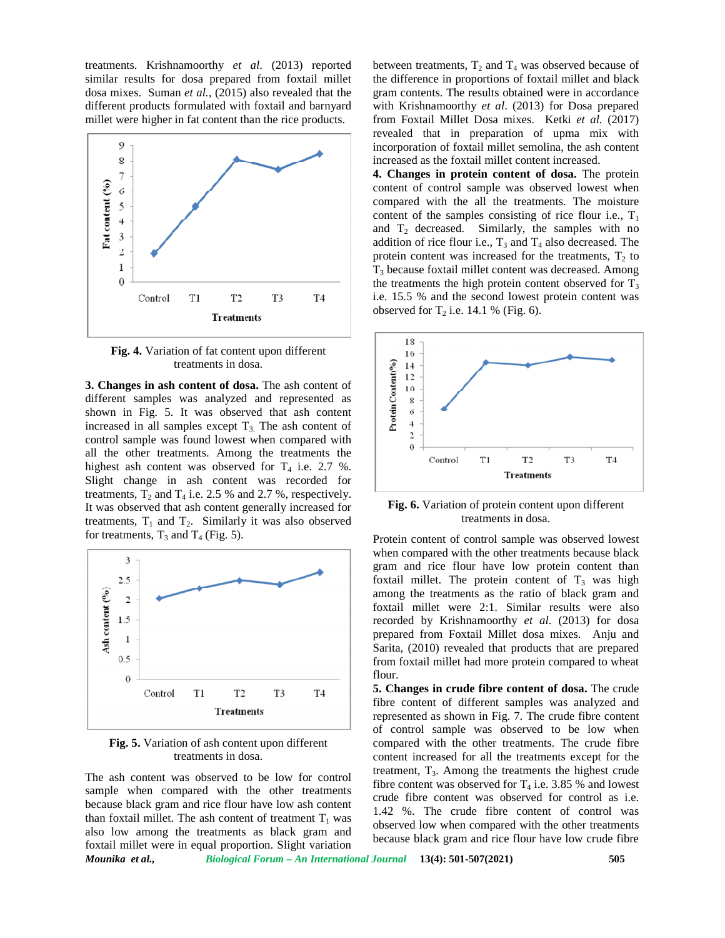treatments. Krishnamoorthy *et al*. (2013) reported similar results for dosa prepared from foxtail millet dosa mixes. Suman *et al.,* (2015) also revealed that the different products formulated with foxtail and barnyard millet were higher in fat content than the rice products.



**Fig. 4.** Variation of fat content upon different treatments in dosa.

**3. Changes in ash content of dosa.** The ash content of different samples was analyzed and represented as shown in Fig. 5. It was observed that ash content increased in all samples except  $T_3$ . The ash content of control sample was found lowest when compared with all the other treatments. Among the treatments the highest ash content was observed for  $T_4$  i.e. 2.7 %. Slight change in ash content was recorded for treatments,  $T_2$  and  $T_4$  i.e. 2.5 % and 2.7 %, respectively. It was observed that ash content generally increased for treatments,  $T_1$  and  $T_2$ . Similarly it was also observed for treatments,  $T_3$  and  $T_4$  (Fig. 5).



**Fig. 5.** Variation of ash content upon different treatments in dosa.

The ash content was observed to be low for control sample when compared with the other treatments because black gram and rice flour have low ash content than foxtail millet. The ash content of treatment  $T_1$  was also low among the treatments as black gram and foxtail millet were in equal proportion. Slight variation between treatments,  $T_2$  and  $T_4$  was observed because of the difference in proportions of foxtail millet and black gram contents. The results obtained were in accordance with Krishnamoorthy *et al*. (2013) for Dosa prepared from Foxtail Millet Dosa mixes. Ketki *et al.* (2017) revealed that in preparation of upma mix with incorporation of foxtail millet semolina, the ash content increased as the foxtail millet content increased.

**4. Changes in protein content of dosa.** The protein content of control sample was observed lowest when compared with the all the treatments. The moisture content of the samples consisting of rice flour i.e.,  $T_1$ and  $T_2$  decreased. Similarly, the samples with no addition of rice flour i.e.,  $T_3$  and  $T_4$  also decreased. The protein content was increased for the treatments,  $T_2$  to T<sup>3</sup> because foxtail millet content was decreased. Among the treatments the high protein content observed for  $T_3$ i.e. 15.5 % and the second lowest protein content was observed for  $T_2$  i.e. 14.1 % (Fig. 6).



**Fig. 6.** Variation of protein content upon different treatments in dosa.

Protein content of control sample was observed lowest when compared with the other treatments because black gram and rice flour have low protein content than foxtail millet. The protein content of  $T_3$  was high among the treatments as the ratio of black gram and foxtail millet were 2:1. Similar results were also recorded by Krishnamoorthy *et al*. (2013) for dosa prepared from Foxtail Millet dosa mixes. Anju and Sarita, (2010) revealed that products that are prepared from foxtail millet had more protein compared to wheat flour.

**5. Changes in crude fibre content of dosa.** The crude fibre content of different samples was analyzed and represented as shown in Fig. 7. The crude fibre content of control sample was observed to be low when compared with the other treatments. The crude fibre content increased for all the treatments except for the treatment,  $T_3$ . Among the treatments the highest crude fibre content was observed for  $T_4$  i.e. 3.85 % and lowest crude fibre content was observed for control as i.e. 1.42 %.The crude fibre content of control was observed low when compared with the other treatments because black gram and rice flour have low crude fibre

*Mounika et al., Biological Forum – An International Journal* **13(4): 501-507(2021) 505**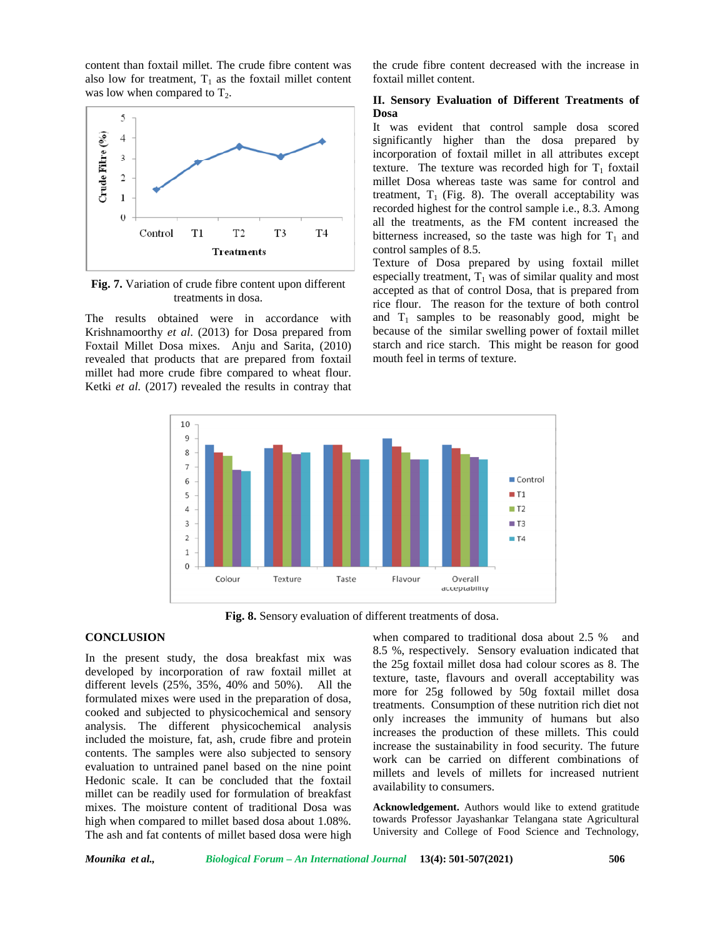content than foxtail millet. The crude fibre content was also low for treatment,  $T_1$  as the foxtail millet content was low when compared to  $T_2$ .



**Fig. 7.** Variation of crude fibre content upon different treatments in dosa.

The results obtained were in accordance with Krishnamoorthy *et al*. (2013) for Dosa prepared from Foxtail Millet Dosa mixes. Anju and Sarita, (2010) revealed that products that are prepared from foxtail millet had more crude fibre compared to wheat flour. Ketki *et al.* (2017) revealed the results in contray that the crude fibre content decreased with the increase in foxtail millet content.

## **II. Sensory Evaluation of Different Treatments of Dosa**

It was evident that control sample dosa scored significantly higher than the dosa prepared by incorporation of foxtail millet in all attributes except texture. The texture was recorded high for  $T_1$  foxtail millet Dosa whereas taste was same for control and treatment,  $T_1$  (Fig. 8). The overall acceptability was recorded highest for the control sample i.e., 8.3. Among all the treatments, as the FM content increased the bitterness increased, so the taste was high for  $T_1$  and control samples of 8.5.

Texture of Dosa prepared by using foxtail millet especially treatment,  $T_1$  was of similar quality and most accepted as that of control Dosa, that is prepared from rice flour. The reason for the texture of both control and  $T_1$  samples to be reasonably good, might be because of the similar swelling power of foxtail millet starch and rice starch. This might be reason for good mouth feel in terms of texture.



**Fig. 8.** Sensory evaluation of different treatments of dosa.

## **CONCLUSION**

In the present study, the dosa breakfast mix was developed by incorporation of raw foxtail millet at different levels (25%, 35%, 40% and 50%). All the formulated mixes were used in the preparation of dosa, cooked and subjected to physicochemical and sensory analysis. The different physicochemical analysis included the moisture, fat, ash, crude fibre and protein contents. The samples were also subjected to sensory evaluation to untrained panel based on the nine point Hedonic scale. It can be concluded that the foxtail millet can be readily used for formulation of breakfast mixes. The moisture content of traditional Dosa was high when compared to millet based dosa about 1.08%. The ash and fat contents of millet based dosa were high when compared to traditional dosa about 2.5 % and 8.5 %, respectively. Sensory evaluation indicated that the 25g foxtail millet dosa had colour scores as 8. The texture, taste, flavours and overall acceptability was more for 25g followed by 50g foxtail millet dosa treatments. Consumption of these nutrition rich diet not only increases the immunity of humans but also increases the production of these millets. This could increase the sustainability in food security. The future work can be carried on different combinations of millets and levels of millets for increased nutrient availability to consumers.

**Acknowledgement.** Authors would like to extend gratitude towards Professor Jayashankar Telangana state Agricultural University and College of Food Science and Technology,